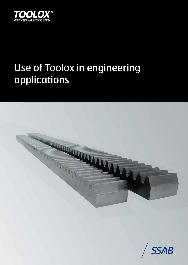

# Use of Toolox in engineering applications



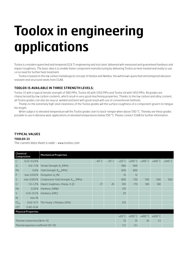# **Toolox in engineering applications**

Toolox is a modern quenched and tempered (Q & T) engineering and tool steel, delivered with measured and guaranteed hardness and impact toughness. The basic idea is to enable faster component manufacturing by delivering Toolox as heat treated and ready to use, i.e no need for further heat treatment.

Toolox is based on the low carbon metallurgical concept of Hardox and Weldox, the well known quenched and tempered abrasion resistant and structural steels from SSAB.

#### **Toolox is available in three strength levels;**

Toolox 33 with a typical tensile strength of 980 MPa, Toolox 40 with 1260 MPa and Toolox 44 with 1450 MPa. All grades are characterized by low carbon contents, which result in very good machining properties. Thanks to the low carbon and alloy content, all Toolox grades can also be oxycut, welded and bent with good result with use of conventional methods.

Thanks to the extremely high steel cleaniness of the Toolox grades will the surface roughness of a component govern its fatigue life length.

When subject to elevated temperature will the Toolox grades start to back-temper when above 590 °C. Thereby are these grades possible to use in abrasive wear applications at elevated temperatures below 590 °C. Please contact SSAB for further information.

#### **Typical values**

#### **Toolox 33**

The current data sheet is valid – www.toolox.com

| Chemical<br><b>Mechanical Properties</b><br>Composition |                 |                                                    |                |                 |     |                                                                         |     |     |                  |
|---------------------------------------------------------|-----------------|----------------------------------------------------|----------------|-----------------|-----|-------------------------------------------------------------------------|-----|-----|------------------|
| C                                                       | $0.22 - 0.24%$  |                                                    | $-40\degree$ C | $-20^{\circ}$ C |     | $+20^{\circ}$ C +200 $^{\circ}$ C +300 $^{\circ}$ C +400 $^{\circ}$ C + |     |     | $+500^{\circ}$ C |
| Si                                                      | $0.6 - 1.1%$    | Tensile Strength, R <sub>m</sub> [MPa]             |                |                 | 980 | 900                                                                     |     |     |                  |
| Mn                                                      | 0,8%            | Yield Strength, R <sub>n02</sub> [MPa]             |                |                 | 850 | 800                                                                     |     |     |                  |
| P                                                       | max. 0.010%     | Elongation, $A_5$ [%]                              |                |                 | 16  | 12                                                                      |     |     |                  |
| S                                                       | max. 0.003%     | Compressive Yield Strength, R <sub>c02</sub> [MPa] |                |                 | 800 | 750                                                                     | 700 | 590 | 560              |
| Cr                                                      | $1.0 - 1.2%$    | Impact toughness, Charpy-V, [J]                    | 27             | 45              | 100 | 170                                                                     | 180 | 180 |                  |
| Mo                                                      | 0,30%           | Hardness, [HBW]                                    |                |                 | 310 |                                                                         |     |     |                  |
| $\vee$                                                  | $0.10 - 0.11\%$ | Hardness, [HRC]                                    |                |                 | 29  |                                                                         |     |     |                  |
| Ni                                                      | max.1%          |                                                    |                |                 |     |                                                                         |     |     |                  |
| $CE_{\text{inv}}$                                       | $0.62 - 0.71$   | The Young's Modulus, [GPa]                         |                |                 | 210 |                                                                         |     |     |                  |
| <b>CET</b>                                              | $0.40 - 0.44$   |                                                    |                |                 |     |                                                                         |     |     |                  |
| <b>Physical Properties</b>                              |                 |                                                    |                |                 |     |                                                                         |     |     |                  |
|                                                         |                 |                                                    |                |                 |     | +20°C +200°C +400°C +600°C                                              |     |     |                  |
| Thermal conductivity $[W/m * K]$                        |                 |                                                    |                | 35              | 35  | 30                                                                      | 23  |     |                  |
| Thermal expansion coefficient [10 <sup>-6</sup> /K]     |                 |                                                    | 13.1           | 13.1            |     |                                                                         |     |     |                  |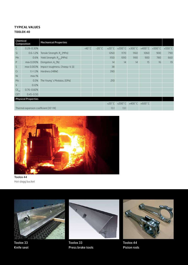# **Typical values Toolox 40**

| Chemical<br>Composition                             |                | <b>Mechanical Properties</b>            |                 |                 |                                   |                  |                  |                  |                  |                  |
|-----------------------------------------------------|----------------|-----------------------------------------|-----------------|-----------------|-----------------------------------|------------------|------------------|------------------|------------------|------------------|
| C                                                   | $0.28 - 0.30%$ |                                         | $-40^{\circ}$ C | $-20^{\circ}$ C | $+20^{\circ}$ C                   | $+200^{\circ}$ C | $+300^{\circ}$ C | $+400^{\circ}$ C | $+500^{\circ}$ C | $+550^{\circ}$ C |
| Si                                                  | $0.6 - 1.2%$   | Tensile Strength, R <sub>m</sub> [MPa]  |                 |                 | 1260                              | 1170             | 1160             | 1060             | 900              | 790              |
| Mn                                                  | 0.6%           | Yield Strength, R <sub>p0.2</sub> [MPa] |                 |                 | 1150                              | 1010             | 990              | 900              | 780              | 660              |
| P                                                   | max 0.010%     | Elongation, $A_{\epsilon}$ [%]          |                 |                 | 14                                | 14               | 14               | 15               | 16               | 19               |
| S                                                   | max 0.003%     | Impact toughness, Charpy-V, [J]         |                 |                 | 38                                |                  |                  |                  |                  |                  |
| Cr                                                  | $1.1 - 1.3%$   | Hardness [HBW]                          |                 |                 | 390                               |                  |                  |                  |                  |                  |
| Ni                                                  | max 1%         |                                         |                 |                 |                                   |                  |                  |                  |                  |                  |
| Mo                                                  | 0.5%           | The Young's Modulus, [GPa]              |                 |                 | 210                               |                  |                  |                  |                  |                  |
| V                                                   | 0.12%          |                                         |                 |                 |                                   |                  |                  |                  |                  |                  |
| $CE_{\text{inv}}$                                   | $0.76 - 0.82%$ |                                         |                 |                 |                                   |                  |                  |                  |                  |                  |
| <b>CET</b>                                          | $0.45 - 0.50$  |                                         |                 |                 |                                   |                  |                  |                  |                  |                  |
| <b>Physical Properties</b>                          |                |                                         |                 |                 |                                   |                  |                  |                  |                  |                  |
|                                                     |                |                                         | $+20^{\circ}$ C |                 | $+200^{\circ}$ C $+400^{\circ}$ C | $+600\degree$ C  |                  |                  |                  |                  |
| Thermal expansion coefficient [10 <sup>-6</sup> /K] |                |                                         | 13.1            | 13.1            |                                   |                  |                  |                  |                  |                  |



Toolox 44 Hot slagg bucket



Toolox 33 Knife seat



Toolox 33 Press brake tools



Toolox 44 Piston rods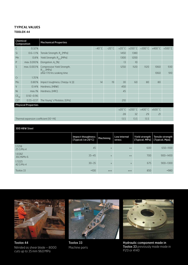### **Typical values Toolox 44**

| <b>Chemical</b><br>Composition         |               | <b>Mechanical Properties</b>                    |                 |                 |                  |                                   |                 |      |     |
|----------------------------------------|---------------|-------------------------------------------------|-----------------|-----------------|------------------|-----------------------------------|-----------------|------|-----|
| C                                      | 0.32%         |                                                 | $-40^{\circ}$ C | $-20^{\circ}$ C |                  | +20°C +200°C +300°C +400°C +500°C |                 |      |     |
| Si                                     | $0.6 - 1.1%$  | Tensile Strength, R <sub>m</sub> [MPa]          |                 |                 | 1450             | 1380                              |                 |      |     |
| Mn                                     | 0.8%          | Yield Strength, R <sub>p0.2</sub> [MPa]         |                 |                 | 1300             | 1200                              |                 |      |     |
| P                                      | max. 0.010%   | Elongation, $A_5$ [%]                           |                 |                 | 13               | 10 <sup>10</sup>                  |                 |      |     |
| S                                      | max. 0.003%   | Compressive Yield Strength,<br>$R_{c0.2}$ [MPa] |                 |                 | 1250             | 1120                              | 1120            | 1060 | 930 |
|                                        |               | after 170 hrs soaking time                      |                 |                 |                  |                                   |                 | 1060 | 910 |
| Cr                                     | 1.35%         |                                                 |                 |                 |                  |                                   |                 |      |     |
| Mo                                     | 0.80%         | Impact toughness, Charpy-V, [J]                 | 14              | 19              | 30               | 60                                | 80              | 80   |     |
| V                                      | 0.14%         | Hardness, [HBW]                                 |                 |                 | 450              |                                   |                 |      |     |
| Ni                                     | max.1%        | Hardness, [HRC]                                 |                 |                 | 45               |                                   |                 |      |     |
| $CE_{\text{IIW}}$                      | $0.92 - 0.96$ |                                                 |                 |                 |                  |                                   |                 |      |     |
| <b>CET</b>                             | $0.55 - 0.57$ | The Young's Modulus, [GPa]                      |                 |                 | 210              |                                   |                 |      |     |
| <b>Physical Properties</b>             |               |                                                 |                 |                 |                  |                                   |                 |      |     |
|                                        |               |                                                 |                 | $+20^{\circ}$ C | $+200^{\circ}$ C | $+400^{\circ}$ C                  | $+600\degree$ C |      |     |
|                                        |               |                                                 |                 |                 | 28               | 32                                | 29              | 21   |     |
| Thermal expansion coefficient [10-6/K] |               |                                                 |                 | 13.5            | 13.5             | 13.5                              |                 |      |     |

## 300 HBW Steel

|                      | Impact thoughness  <br>[Typical J at 20°C] | Machining | Low internal<br>stress | [Typical, MPa]   [Typical, Mpa] | Yield strength Tensile strength |
|----------------------|--------------------------------------------|-----------|------------------------|---------------------------------|---------------------------------|
| 1.7218<br>25 CrMo 4  | 45                                         | $+$       | $++$                   | 600                             | 650-1100                        |
| 1.6582<br>36CrNiMo 6 | $35 - 45$                                  | $+$       | $++$                   | 700                             | $900 - 1400$                    |
| 1.7225<br>42 CrMo 4  | $30 - 35$                                  | $+$       | $+$                    | 675                             | $900 - 1300$                    |
| Toolox 33            | $-100$                                     | $+++$     | $+++$                  | 850                             | $-980$                          |



Toolox 44 Nitrided as shear blade – 8000 cuts up to 35 mm 960 MPa



Toolox 33 Machine parts



Hydraulic component made in Toolox 33 previously made made in P20 or 4140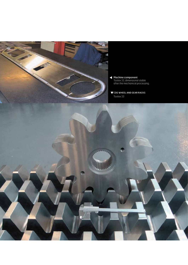

- Machine component Toolox 33, dimensional stable after the mechanical processing.
- **V** COG WHEEL AND GEAR RACKS Toolox 33